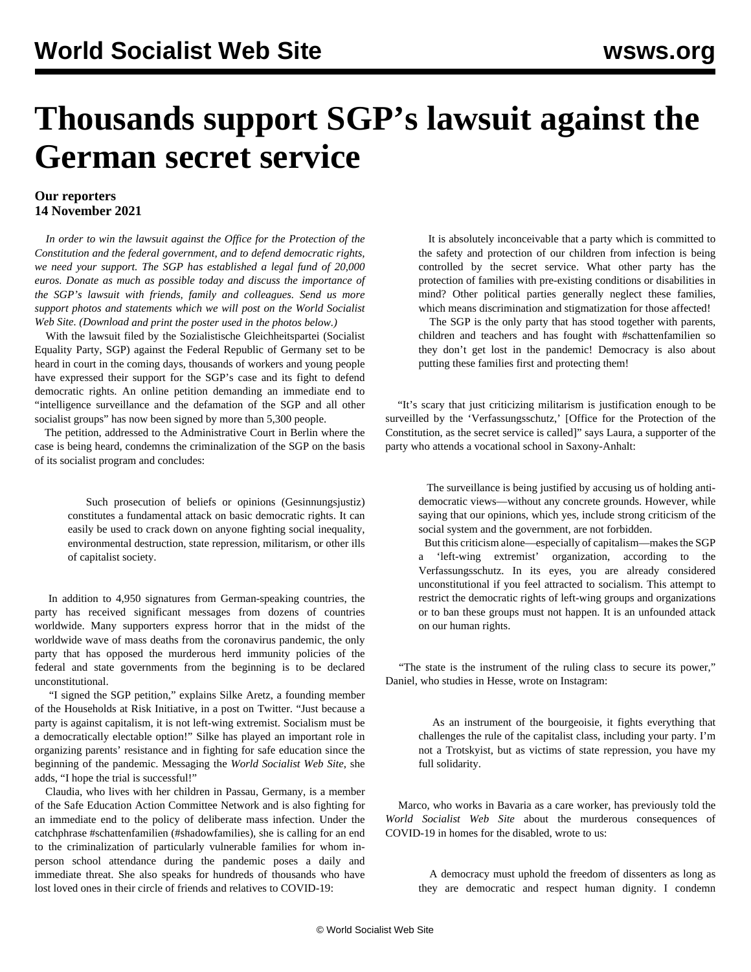## **Thousands support SGP's lawsuit against the German secret service**

## **Our reporters 14 November 2021**

 *In order to win the lawsuit against the Office for the Protection of the Constitution and the federal government, and to defend democratic rights, we need your support. The SGP has established a legal fund of 20,000 euros. [Donate](https://www.gleichheit.de/fonds.html) as much as possible today and discuss the importance of the SGP's lawsuit with friends, family and colleagues. Send us more support photos and statements which we will post on the World Socialist Web Site. (Download and print the poster used in the photos below.)*

 With the lawsuit filed by the Sozialistische Gleichheitspartei (Socialist Equality Party, SGP) against the Federal Republic of Germany set to be heard in court in the coming days, thousands of workers and young people have expressed their support for the SGP's case and its fight to defend democratic rights. An online petition demanding an immediate end to "intelligence surveillance and the defamation of the SGP and all other socialist groups" has now been signed by more than 5,300 people.

 The petition, addressed to the Administrative Court in Berlin where the case is being heard, condemns the criminalization of the SGP on the basis of its socialist program and concludes:

 Such prosecution of beliefs or opinions (Gesinnungsjustiz) constitutes a fundamental attack on basic democratic rights. It can easily be used to crack down on anyone fighting social inequality, environmental destruction, state repression, militarism, or other ills of capitalist society.

 In addition to 4,950 signatures from German-speaking countries, the party has received significant messages from dozens of countries worldwide. Many supporters express horror that in the midst of the worldwide wave of mass deaths from the coronavirus pandemic, the only party that has opposed the murderous herd immunity policies of the federal and state governments from the beginning is to be declared unconstitutional.

 "I signed the SGP petition," explains Silke Aretz, a founding member of the Households at Risk Initiative, in a post on Twitter. "Just because a party is against capitalism, it is not left-wing extremist. Socialism must be a democratically electable option!" Silke has played an important role in organizing parents' resistance and in fighting for safe education since the beginning of the pandemic. Messaging the *World Socialist Web Site*, she adds, "I hope the trial is successful!"

 Claudia, who lives with her children in Passau, Germany, is a member of the Safe Education Action Committee Network and is also fighting for an immediate end to the policy of deliberate mass infection. Under the catchphrase #schattenfamilien (#shadowfamilies), she is calling for an end to the criminalization of particularly vulnerable families for whom inperson school attendance during the pandemic poses a daily and immediate threat. She also speaks for hundreds of thousands who have lost loved ones in their circle of friends and relatives to COVID-19:

 It is absolutely inconceivable that a party which is committed to the safety and protection of our children from infection is being controlled by the secret service. What other party has the protection of families with pre-existing conditions or disabilities in mind? Other political parties generally neglect these families, which means discrimination and stigmatization for those affected!

 The SGP is the only party that has stood together with parents, children and teachers and has fought with #schattenfamilien so they don't get lost in the pandemic! Democracy is also about putting these families first and protecting them!

 "It's scary that just criticizing militarism is justification enough to be surveilled by the 'Verfassungsschutz,' [Office for the Protection of the Constitution, as the secret service is called]" says Laura, a supporter of the party who attends a vocational school in Saxony-Anhalt:

 The surveillance is being justified by accusing us of holding antidemocratic views—without any concrete grounds. However, while saying that our opinions, which yes, include strong criticism of the social system and the government, are not forbidden.

 But this criticism alone—especially of capitalism—makes the SGP a 'left-wing extremist' organization, according to the Verfassungsschutz. In its eyes, you are already considered unconstitutional if you feel attracted to socialism. This attempt to restrict the democratic rights of left-wing groups and organizations or to ban these groups must not happen. It is an unfounded attack on our human rights.

 "The state is the instrument of the ruling class to secure its power," Daniel, who studies in Hesse, wrote on Instagram:

 As an instrument of the bourgeoisie, it fights everything that challenges the rule of the capitalist class, including your party. I'm not a Trotskyist, but as victims of state repression, you have my full solidarity.

 Marco, who works in Bavaria as a care worker, has previously told the *World Socialist Web Site* about the murderous consequences of COVID-19 in homes for the disabled, wrote to us:

 A democracy must uphold the freedom of dissenters as long as they are democratic and respect human dignity. I condemn